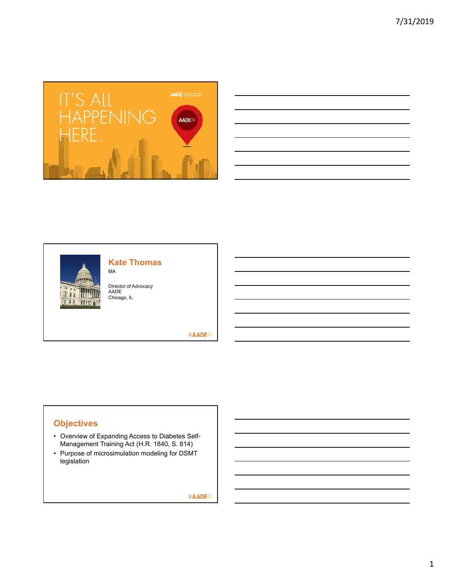

| <u> 1989 - Johann Stoff, amerikansk politiker (d. 1989)</u>                                                                                                                                                                   |  |  |
|-------------------------------------------------------------------------------------------------------------------------------------------------------------------------------------------------------------------------------|--|--|
| <u> 1989 - Johann Stoff, deutscher Stoff, der Stoff, deutscher Stoff, der Stoff, der Stoff, der Stoff, der Stoff, </u>                                                                                                        |  |  |
| <u> 1989 - Johann Stoff, amerikansk politiker (d. 1989)</u>                                                                                                                                                                   |  |  |
| the control of the control of the control of the control of the control of the control of the control of the control of the control of the control of the control of the control of the control of the control of the control |  |  |
| <u> 1989 - Andrea Santa Andrea Andrea Andrea Andrea Andrea Andrea Andrea Andrea Andrea Andrea Andrea Andrea Andr</u>                                                                                                          |  |  |
|                                                                                                                                                                                                                               |  |  |



## **Kate Thomas**

Director of Advocacy AADE Chicago, IL

MA

#AADE<sup>19</sup>

# **Objectives**

- Overview of Expanding Access to Diabetes Self-Management Training Act (H.R. 1840, S. 814)
- Purpose of microsimulation modeling for DSMT legislation

#AADE<sup>19</sup>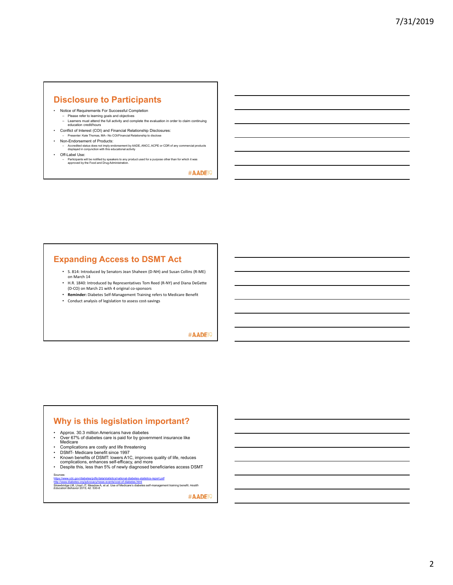### **Disclosure to Participants**

- Notice of Requirements For Successful Completion
- Please refer to learning goals and objectives Learners must attend the full activity and complete the evaluation in order to claim continuing education credit/hours
- Conflict of Interest (COI) and Financial Relationship Disclosures: – Presenter: Kate Thomas, MA– No COI/Financial Relationship to disclose
- Non-Endorsement of Products:
	- Accredited status does not imply endorsement by AADE, ANCC, ACPE or CDR of any commercial products displayed in conjunction with this educational activity
- Off-Label Use:
	- Participants will be notified by speakers to any product used for a purpose other than for which it was approved by the Food and Drug Administration.

#AADE<sup>19</sup>

# **Expanding Access to DSMT Act**

- S. 814: Introduced by Senators Jean Shaheen (D‐NH) and Susan Collins (R‐ME) on March 14
- H.R. 1840: Introduced by Representatives Tom Reed (R‐NY) and Diana DeGette (D‐CO) on March 21 with 4 original co‐sponsors
- **Reminder:** Diabetes Self‐Management Training refers to Medicare Benefit
- Conduct analysis of legislation to assess cost‐savings

#### #AADE<sup>19</sup>

#### **Why is this legislation important?**

- Approx. 30.3 million Americans have diabetes
- Over 67% of diabetes care is paid for by government insurance like<br> Medicare<br>• Complications are costly and life threatening
- 
- DSMT- Medicare benefit since 1997
- 
- Known benefits of DSMT: lowers A1C, improves quality of life, reduces<br>complications, enhances self-efficacy, and more<br>• Despite this, less than 5% of newly diagnosed beneficiaries access DSMT Sources:

h<u>ttp://www.cdc.gov/diabetes/pdfs/data/statistics/national-diabetes-statistics-report.pdf<br>http://www.diabetes.org/advocacy/news-events/cost-of-diabetes.html<br>Stravehtion Behavior 2015; Ateadow A, et al. Use of Medicare's di</u>

#AADE<sup>19</sup>